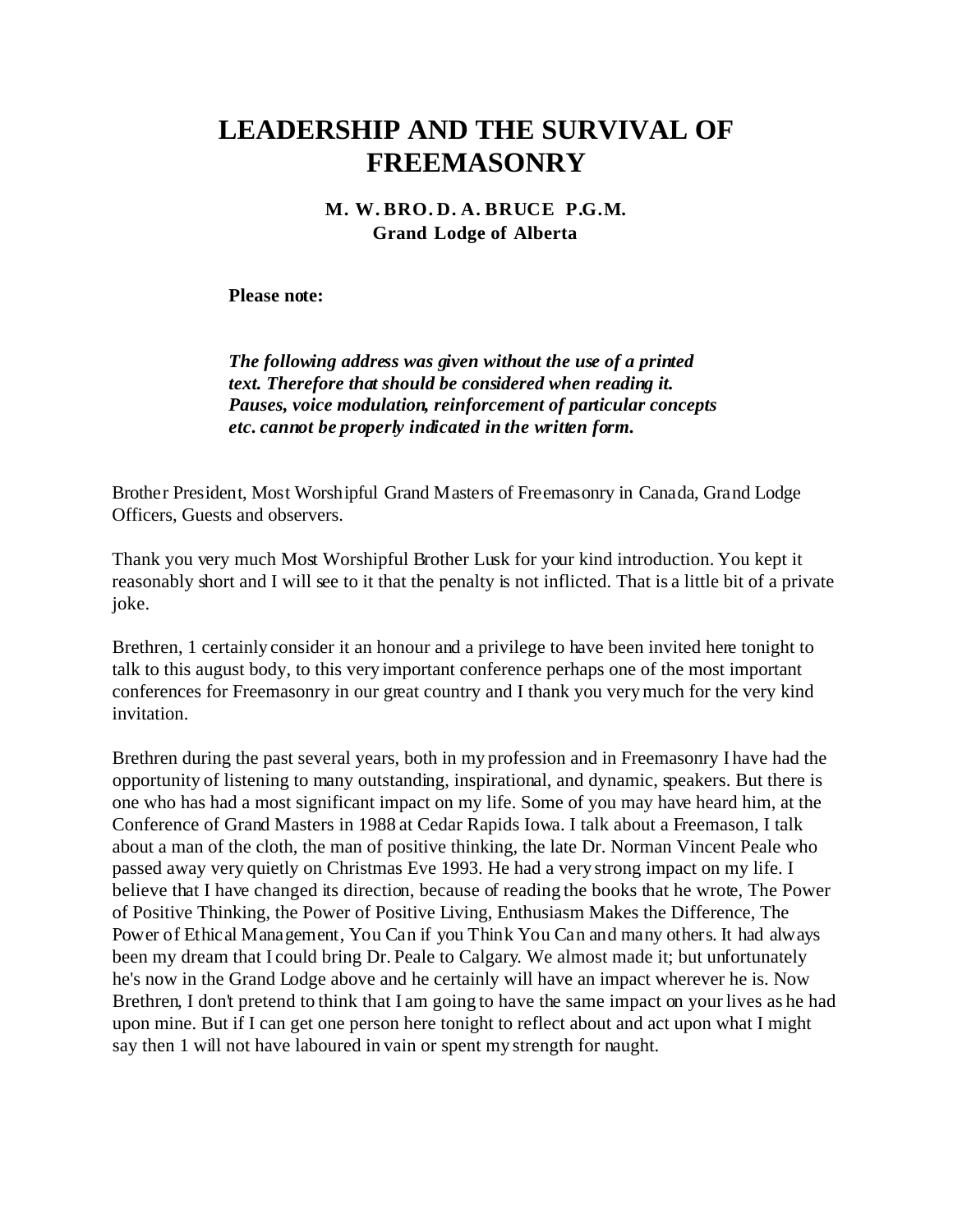## **LEADERSHIP AND THE SURVIVAL OF FREEMASONRY**

## **M. W. BRO. D. A. BRUCE P.G.M. Grand Lodge of Alberta**

**Please note:**

*The following address was given without the use of a printed text. Therefore that should be considered when reading it. Pauses, voice modulation, reinforcement of particular concepts etc. cannot be properly indicated in the written form.*

Brother President, Most Worshipful Grand Masters of Freemasonry in Canada, Grand Lodge Officers, Guests and observers.

Thank you very much Most Worshipful Brother Lusk for your kind introduction. You kept it reasonably short and I will see to it that the penalty is not inflicted. That is a little bit of a private joke.

Brethren, 1 certainly consider it an honour and a privilege to have been invited here tonight to talk to this august body, to this very important conference perhaps one of the most important conferences for Freemasonry in our great country and I thank you very much for the very kind invitation.

Brethren during the past several years, both in my profession and in Freemasonry I have had the opportunity of listening to many outstanding, inspirational, and dynamic, speakers. But there is one who has had a most significant impact on my life. Some of you may have heard him, at the Conference of Grand Masters in 1988 at Cedar Rapids Iowa. I talk about a Freemason, I talk about a man of the cloth, the man of positive thinking, the late Dr. Norman Vincent Peale who passed away very quietly on Christmas Eve 1993. He had a very strong impact on my life. I believe that I have changed its direction, because of reading the books that he wrote, The Power of Positive Thinking, the Power of Positive Living, Enthusiasm Makes the Difference, The Power of Ethical Management, You Can if you Think You Can and many others. It had always been my dream that I could bring Dr. Peale to Calgary. We almost made it; but unfortunately he's now in the Grand Lodge above and he certainly will have an impact wherever he is. Now Brethren, I don't pretend to think that I am going to have the same impact on your lives as he had upon mine. But if I can get one person here tonight to reflect about and act upon what I might say then 1 will not have laboured in vain or spent my strength for naught.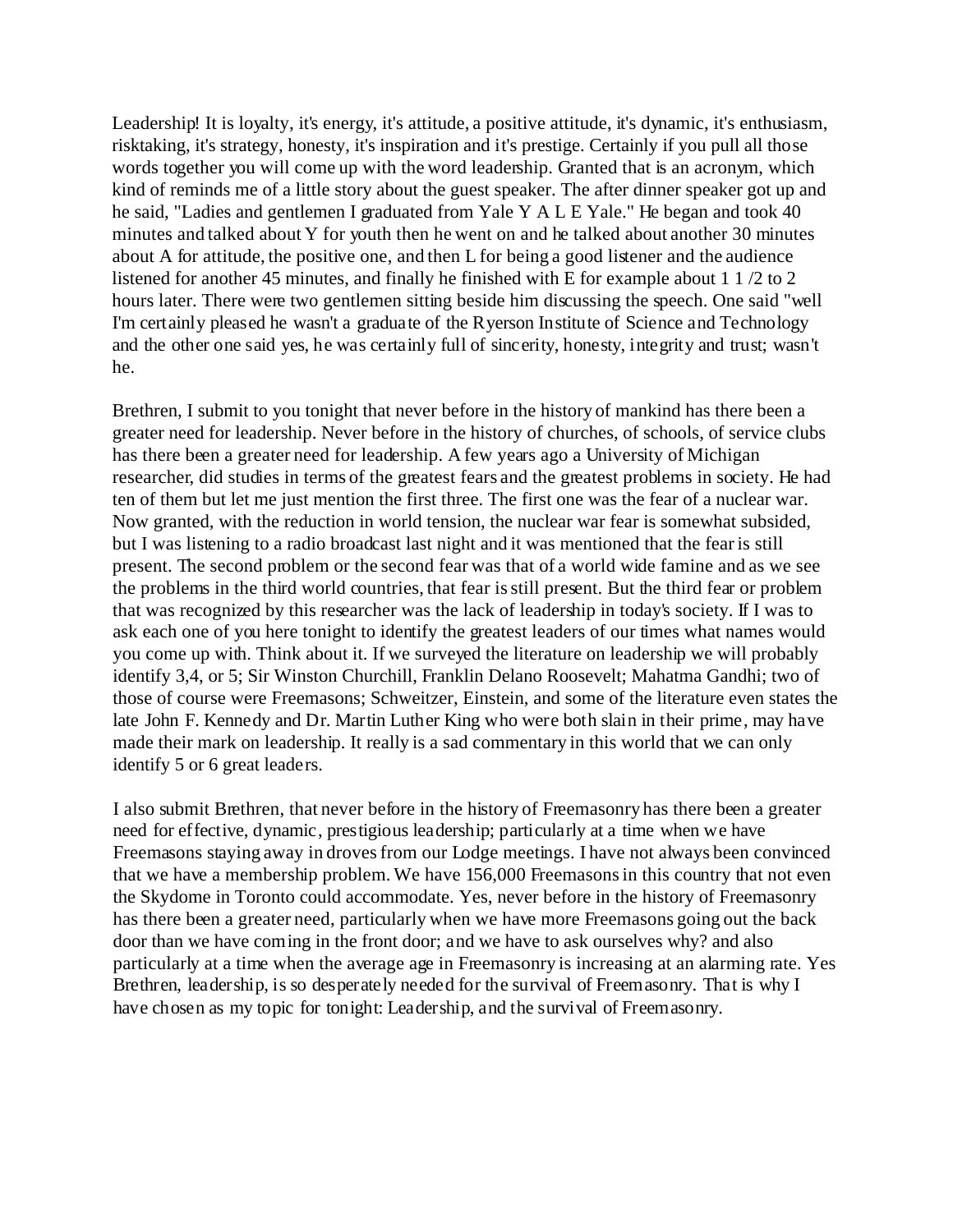Leadership! It is loyalty, it's energy, it's attitude, a positive attitude, it's dynamic, it's enthusiasm, risktaking, it's strategy, honesty, it's inspiration and it's prestige. Certainly if you pull all those words together you will come up with the word leadership. Granted that is an acronym, which kind of reminds me of a little story about the guest speaker. The after dinner speaker got up and he said, "Ladies and gentlemen I graduated from Yale Y A L E Yale." He began and took 40 minutes and talked about Y for youth then he went on and he talked about another 30 minutes about A for attitude, the positive one, and then L for being a good listener and the audience listened for another 45 minutes, and finally he finished with E for example about 1 1 /2 to 2 hours later. There were two gentlemen sitting beside him discussing the speech. One said "well I'm certainly pleased he wasn't a graduate of the Ryerson Institute of Science and Technology and the other one said yes, he was certainly full of sincerity, honesty, integrity and trust; wasn't he.

Brethren, I submit to you tonight that never before in the history of mankind has there been a greater need for leadership. Never before in the history of churches, of schools, of service clubs has there been a greater need for leadership. A few years ago a University of Michigan researcher, did studies in terms of the greatest fears and the greatest problems in society. He had ten of them but let me just mention the first three. The first one was the fear of a nuclear war. Now granted, with the reduction in world tension, the nuclear war fear is somewhat subsided, but I was listening to a radio broadcast last night and it was mentioned that the fear is still present. The second problem or the second fear was that of a world wide famine and as we see the problems in the third world countries, that fear is still present. But the third fear or problem that was recognized by this researcher was the lack of leadership in today's society. If I was to ask each one of you here tonight to identify the greatest leaders of our times what names would you come up with. Think about it. If we surveyed the literature on leadership we will probably identify 3,4, or 5; Sir Winston Churchill, Franklin Delano Roosevelt; Mahatma Gandhi; two of those of course were Freemasons; Schweitzer, Einstein, and some of the literature even states the late John F. Kennedy and Dr. Martin Luther King who were both slain in their prime, may have made their mark on leadership. It really is a sad commentary in this world that we can only identify 5 or 6 great leaders.

I also submit Brethren, that never before in the history of Freemasonry has there been a greater need for effective, dynamic, prestigious leadership; particularly at a time when we have Freemasons staying away in droves from our Lodge meetings. I have not always been convinced that we have a membership problem. We have 156,000 Freemasons in this country that not even the Skydome in Toronto could accommodate. Yes, never before in the history of Freemasonry has there been a greater need, particularly when we have more Freemasons going out the back door than we have coming in the front door; and we have to ask ourselves why? and also particularly at a time when the average age in Freemasonry is increasing at an alarming rate. Yes Brethren, leadership, is so desperately needed for the survival of Freemasonry. That is why I have chosen as my topic for tonight: Leadership, and the survival of Freemasonry.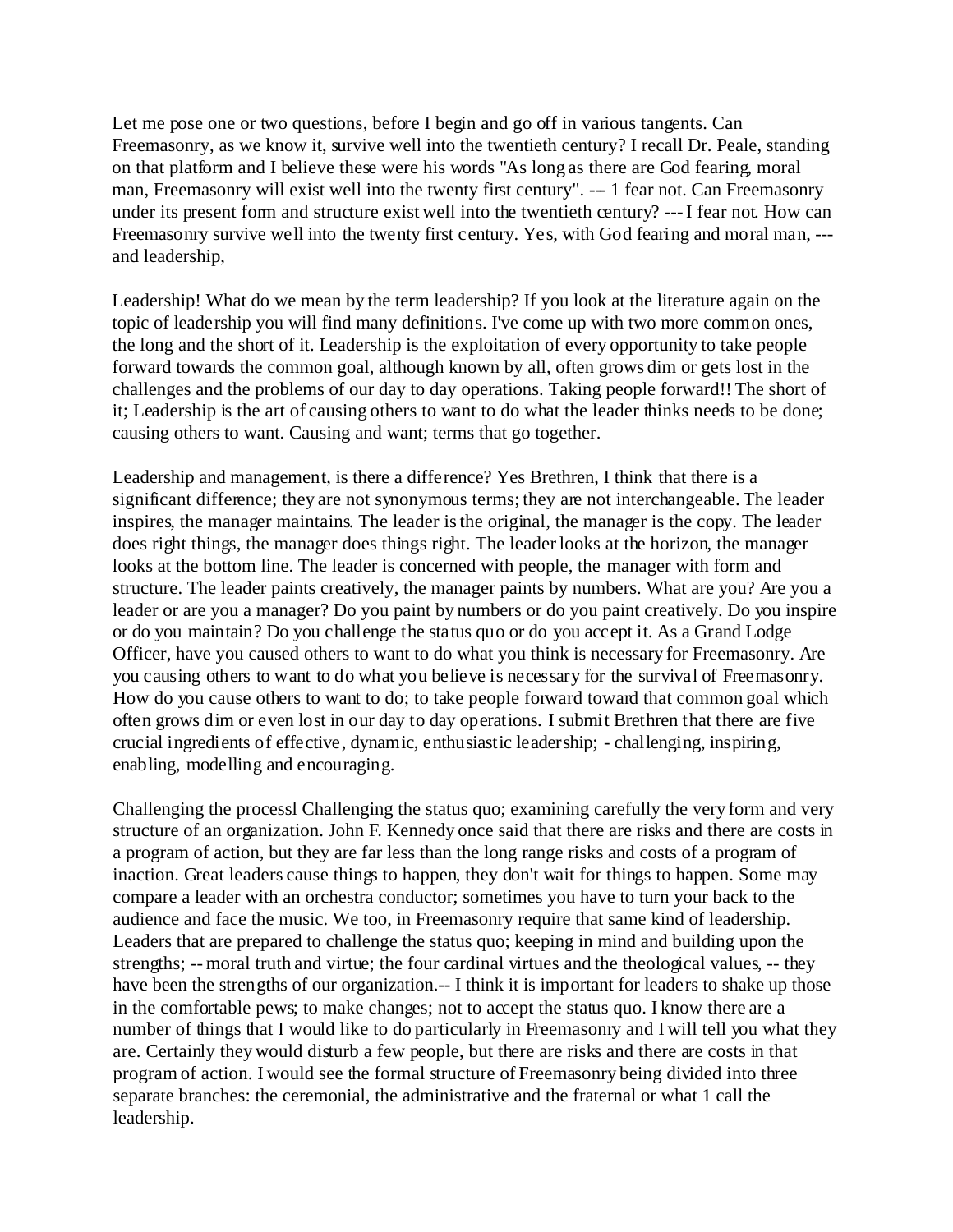Let me pose one or two questions, before I begin and go off in various tangents. Can Freemasonry, as we know it, survive well into the twentieth century? I recall Dr. Peale, standing on that platform and I believe these were his words "As long as there are God fearing, moral man, Freemasonry will exist well into the twenty first century". -- 1 fear not. Can Freemasonry under its present form and structure exist well into the twentieth century? --- I fear not. How can Freemasonry survive well into the twenty first century. Yes, with God fearing and moral man, -- and leadership,

Leadership! What do we mean by the term leadership? If you look at the literature again on the topic of leadership you will find many definitions. I've come up with two more common ones, the long and the short of it. Leadership is the exploitation of every opportunity to take people forward towards the common goal, although known by all, often grows dim or gets lost in the challenges and the problems of our day to day operations. Taking people forward!! The short of it; Leadership is the art of causing others to want to do what the leader thinks needs to be done; causing others to want. Causing and want; terms that go together.

Leadership and management, is there a difference? Yes Brethren, I think that there is a significant difference; they are not synonymous terms; they are not interchangeable. The leader inspires, the manager maintains. The leader is the original, the manager is the copy. The leader does right things, the manager does things right. The leader looks at the horizon, the manager looks at the bottom line. The leader is concerned with people, the manager with form and structure. The leader paints creatively, the manager paints by numbers. What are you? Are you a leader or are you a manager? Do you paint by numbers or do you paint creatively. Do you inspire or do you maintain? Do you challenge the status quo or do you accept it. As a Grand Lodge Officer, have you caused others to want to do what you think is necessary for Freemasonry. Are you causing others to want to do what you believe is necessary for the survival of Freemasonry. How do you cause others to want to do; to take people forward toward that common goal which often grows dim or even lost in our day to day operations. I submit Brethren that there are five crucial ingredients of effective, dynamic, enthusiastic leadership; - challenging, inspiring, enabling, modelling and encouraging.

Challenging the processl Challenging the status quo; examining carefully the very form and very structure of an organization. John F. Kennedy once said that there are risks and there are costs in a program of action, but they are far less than the long range risks and costs of a program of inaction. Great leaders cause things to happen, they don't wait for things to happen. Some may compare a leader with an orchestra conductor; sometimes you have to turn your back to the audience and face the music. We too, in Freemasonry require that same kind of leadership. Leaders that are prepared to challenge the status quo; keeping in mind and building upon the strengths; -- moral truth and virtue; the four cardinal virtues and the theological values, -- they have been the strengths of our organization.-- I think it is important for leaders to shake up those in the comfortable pews; to make changes; not to accept the status quo. I know there are a number of things that I would like to do particularly in Freemasonry and I will tell you what they are. Certainly they would disturb a few people, but there are risks and there are costs in that program of action. I would see the formal structure of Freemasonry being divided into three separate branches: the ceremonial, the administrative and the fraternal or what 1 call the leadership.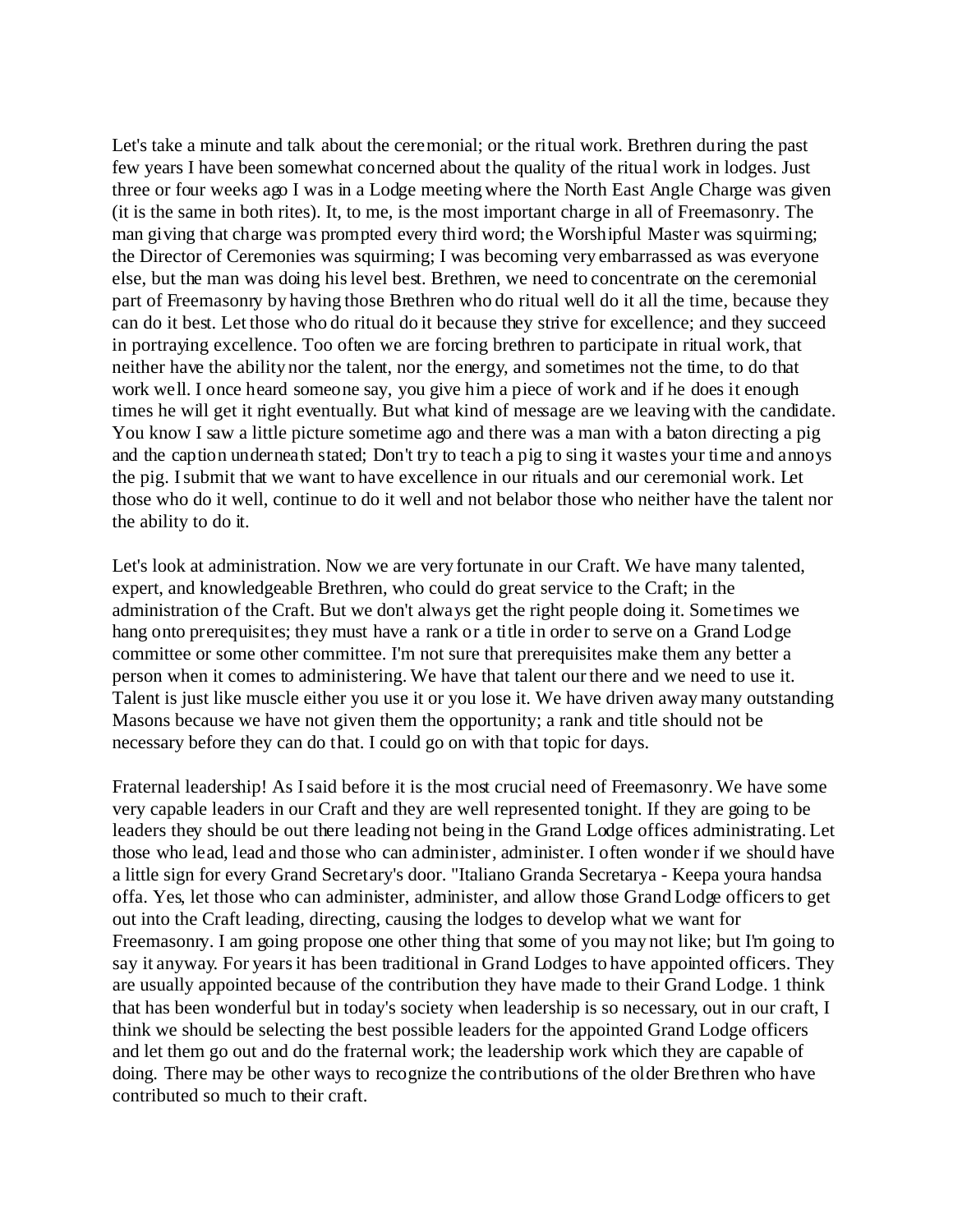Let's take a minute and talk about the ceremonial; or the ritual work. Brethren during the past few years I have been somewhat concerned about the quality of the ritual work in lodges. Just three or four weeks ago I was in a Lodge meeting where the North East Angle Charge was given (it is the same in both rites). It, to me, is the most important charge in all of Freemasonry. The man giving that charge was prompted every third word; the Worshipful Master was squirming; the Director of Ceremonies was squirming; I was becoming very embarrassed as was everyone else, but the man was doing his level best. Brethren, we need to concentrate on the ceremonial part of Freemasonry by having those Brethren who do ritual well do it all the time, because they can do it best. Let those who do ritual do it because they strive for excellence; and they succeed in portraying excellence. Too often we are forcing brethren to participate in ritual work, that neither have the ability nor the talent, nor the energy, and sometimes not the time, to do that work well. I once heard someone say, you give him a piece of work and if he does it enough times he will get it right eventually. But what kind of message are we leaving with the candidate. You know I saw a little picture sometime ago and there was a man with a baton directing a pig and the caption underneath stated; Don't try to teach a pig to sing it wastes your time and annoys the pig. I submit that we want to have excellence in our rituals and our ceremonial work. Let those who do it well, continue to do it well and not belabor those who neither have the talent nor the ability to do it.

Let's look at administration. Now we are very fortunate in our Craft. We have many talented, expert, and knowledgeable Brethren, who could do great service to the Craft; in the administration of the Craft. But we don't always get the right people doing it. Sometimes we hang onto prerequisites; they must have a rank or a title in order to serve on a Grand Lodge committee or some other committee. I'm not sure that prerequisites make them any better a person when it comes to administering. We have that talent our there and we need to use it. Talent is just like muscle either you use it or you lose it. We have driven away many outstanding Masons because we have not given them the opportunity; a rank and title should not be necessary before they can do that. I could go on with that topic for days.

Fraternal leadership! As I said before it is the most crucial need of Freemasonry. We have some very capable leaders in our Craft and they are well represented tonight. If they are going to be leaders they should be out there leading not being in the Grand Lodge offices administrating. Let those who lead, lead and those who can administer, administer. I often wonder if we should have a little sign for every Grand Secretary's door. "Italiano Granda Secretarya - Keepa youra handsa offa. Yes, let those who can administer, administer, and allow those Grand Lodge officers to get out into the Craft leading, directing, causing the lodges to develop what we want for Freemasonry. I am going propose one other thing that some of you may not like; but I'm going to say it anyway. For years it has been traditional in Grand Lodges to have appointed officers. They are usually appointed because of the contribution they have made to their Grand Lodge. 1 think that has been wonderful but in today's society when leadership is so necessary, out in our craft, I think we should be selecting the best possible leaders for the appointed Grand Lodge officers and let them go out and do the fraternal work; the leadership work which they are capable of doing. There may be other ways to recognize the contributions of the older Brethren who have contributed so much to their craft.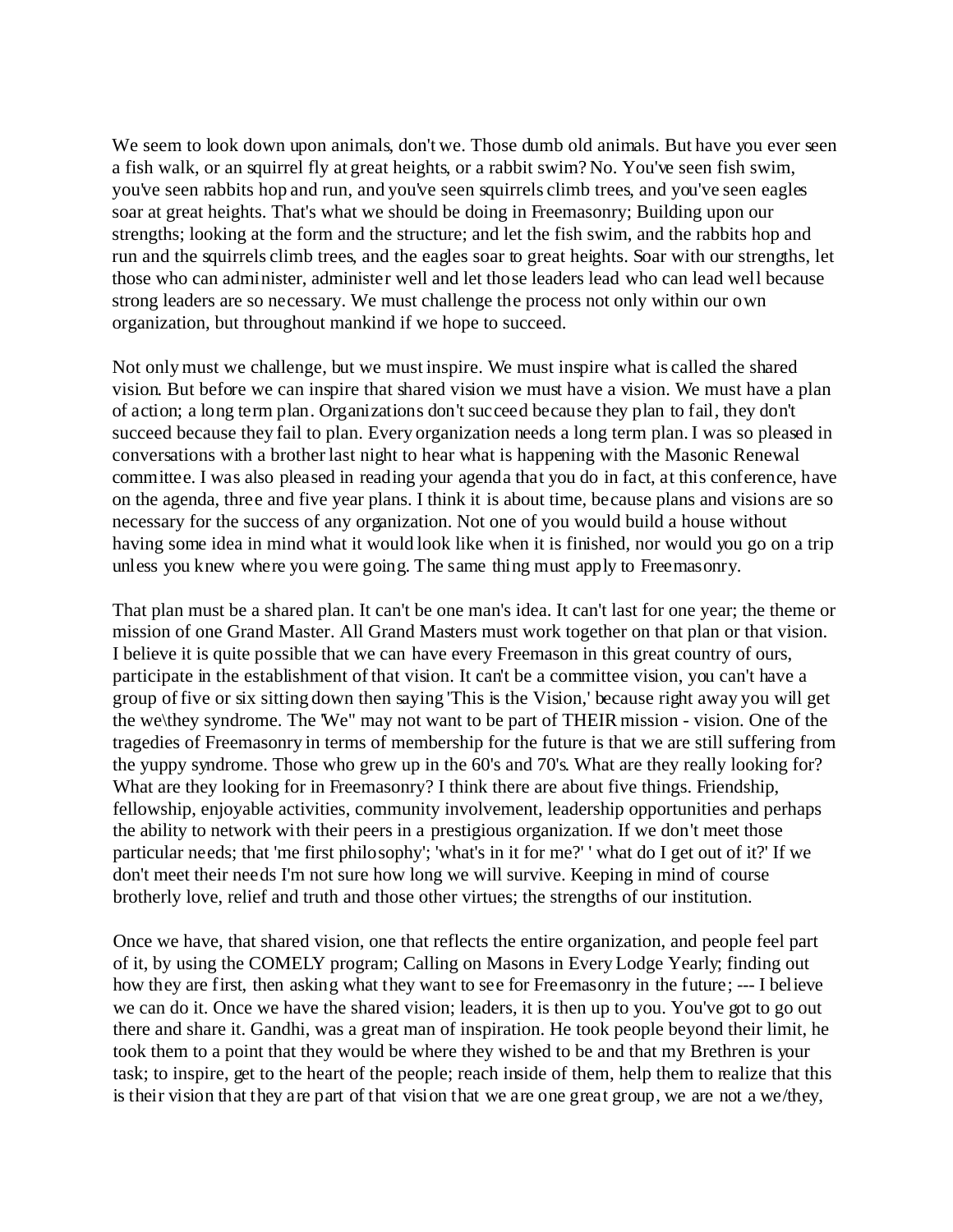We seem to look down upon animals, don't we. Those dumb old animals. But have you ever seen a fish walk, or an squirrel fly at great heights, or a rabbit swim? No. You've seen fish swim, you've seen rabbits hop and run, and you've seen squirrels climb trees, and you've seen eagles soar at great heights. That's what we should be doing in Freemasonry; Building upon our strengths; looking at the form and the structure; and let the fish swim, and the rabbits hop and run and the squirrels climb trees, and the eagles soar to great heights. Soar with our strengths, let those who can administer, administer well and let those leaders lead who can lead well because strong leaders are so necessary. We must challenge the process not only within our own organization, but throughout mankind if we hope to succeed.

Not only must we challenge, but we must inspire. We must inspire what is called the shared vision. But before we can inspire that shared vision we must have a vision. We must have a plan of action; a long term plan. Organizations don't succeed because they plan to fail, they don't succeed because they fail to plan. Every organization needs a long term plan. I was so pleased in conversations with a brother last night to hear what is happening with the Masonic Renewal committee. I was also pleased in reading your agenda that you do in fact, at this conference, have on the agenda, three and five year plans. I think it is about time, because plans and visions are so necessary for the success of any organization. Not one of you would build a house without having some idea in mind what it would look like when it is finished, nor would you go on a trip unless you knew where you were going. The same thing must apply to Freemasonry.

That plan must be a shared plan. It can't be one man's idea. It can't last for one year; the theme or mission of one Grand Master. All Grand Masters must work together on that plan or that vision. I believe it is quite possible that we can have every Freemason in this great country of ours, participate in the establishment of that vision. It can't be a committee vision, you can't have a group of five or six sitting down then saying 'This is the Vision,' because right away you will get the we\they syndrome. The 'We" may not want to be part of THEIR mission - vision. One of the tragedies of Freemasonry in terms of membership for the future is that we are still suffering from the yuppy syndrome. Those who grew up in the 60's and 70's. What are they really looking for? What are they looking for in Freemasonry? I think there are about five things. Friendship, fellowship, enjoyable activities, community involvement, leadership opportunities and perhaps the ability to network with their peers in a prestigious organization. If we don't meet those particular needs; that 'me first philosophy'; 'what's in it for me?' ' what do I get out of it?' If we don't meet their needs I'm not sure how long we will survive. Keeping in mind of course brotherly love, relief and truth and those other virtues; the strengths of our institution.

Once we have, that shared vision, one that reflects the entire organization, and people feel part of it, by using the COMELY program; Calling on Masons in Every Lodge Yearly; finding out how they are first, then asking what they want to see for Freemasonry in the future; --- I believe we can do it. Once we have the shared vision; leaders, it is then up to you. You've got to go out there and share it. Gandhi, was a great man of inspiration. He took people beyond their limit, he took them to a point that they would be where they wished to be and that my Brethren is your task; to inspire, get to the heart of the people; reach inside of them, help them to realize that this is their vision that they are part of that vision that we are one great group, we are not a we/they,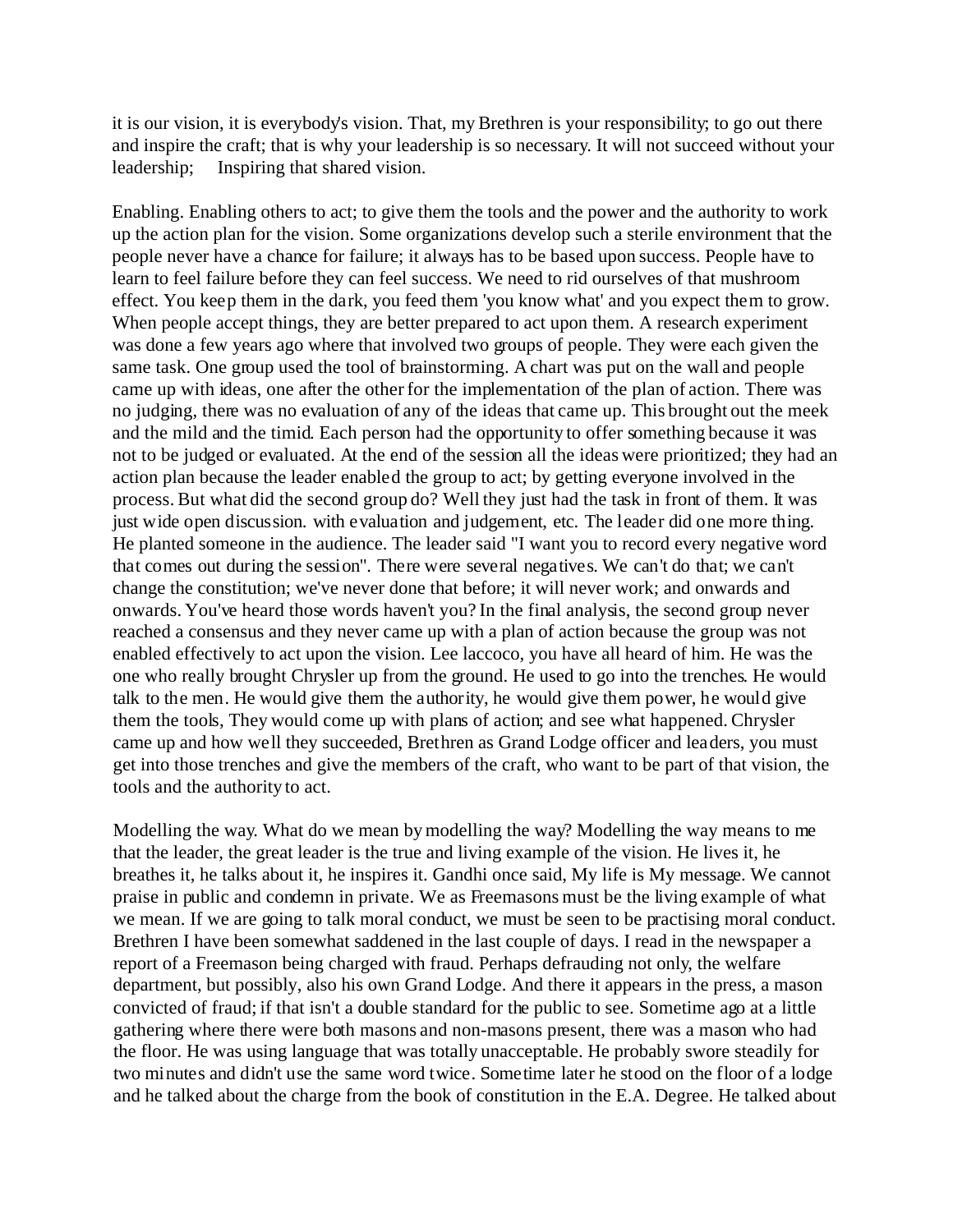it is our vision, it is everybody's vision. That, my Brethren is your responsibility; to go out there and inspire the craft; that is why your leadership is so necessary. It will not succeed without your leadership; Inspiring that shared vision.

Enabling. Enabling others to act; to give them the tools and the power and the authority to work up the action plan for the vision. Some organizations develop such a sterile environment that the people never have a chance for failure; it always has to be based upon success. People have to learn to feel failure before they can feel success. We need to rid ourselves of that mushroom effect. You keep them in the dark, you feed them 'you know what' and you expect them to grow. When people accept things, they are better prepared to act upon them. A research experiment was done a few years ago where that involved two groups of people. They were each given the same task. One group used the tool of brainstorming. A chart was put on the wall and people came up with ideas, one after the other for the implementation of the plan of action. There was no judging, there was no evaluation of any of the ideas that came up. This brought out the meek and the mild and the timid. Each person had the opportunity to offer something because it was not to be judged or evaluated. At the end of the session all the ideas were prioritized; they had an action plan because the leader enabled the group to act; by getting everyone involved in the process. But what did the second group do? Well they just had the task in front of them. It was just wide open discussion. with evaluation and judgement, etc. The leader did one more thing. He planted someone in the audience. The leader said "I want you to record every negative word that comes out during the session". There were several negatives. We can't do that; we can't change the constitution; we've never done that before; it will never work; and onwards and onwards. You've heard those words haven't you? In the final analysis, the second group never reached a consensus and they never came up with a plan of action because the group was not enabled effectively to act upon the vision. Lee laccoco, you have all heard of him. He was the one who really brought Chrysler up from the ground. He used to go into the trenches. He would talk to the men. He would give them the authority, he would give them power, he would give them the tools, They would come up with plans of action; and see what happened. Chrysler came up and how well they succeeded, Brethren as Grand Lodge officer and leaders, you must get into those trenches and give the members of the craft, who want to be part of that vision, the tools and the authority to act.

Modelling the way. What do we mean by modelling the way? Modelling the way means to me that the leader, the great leader is the true and living example of the vision. He lives it, he breathes it, he talks about it, he inspires it. Gandhi once said, My life is My message. We cannot praise in public and condemn in private. We as Freemasons must be the living example of what we mean. If we are going to talk moral conduct, we must be seen to be practising moral conduct. Brethren I have been somewhat saddened in the last couple of days. I read in the newspaper a report of a Freemason being charged with fraud. Perhaps defrauding not only, the welfare department, but possibly, also his own Grand Lodge. And there it appears in the press, a mason convicted of fraud; if that isn't a double standard for the public to see. Sometime ago at a little gathering where there were both masons and non-masons present, there was a mason who had the floor. He was using language that was totally unacceptable. He probably swore steadily for two minutes and didn't use the same word twice. Sometime later he stood on the floor of a lodge and he talked about the charge from the book of constitution in the E.A. Degree. He talked about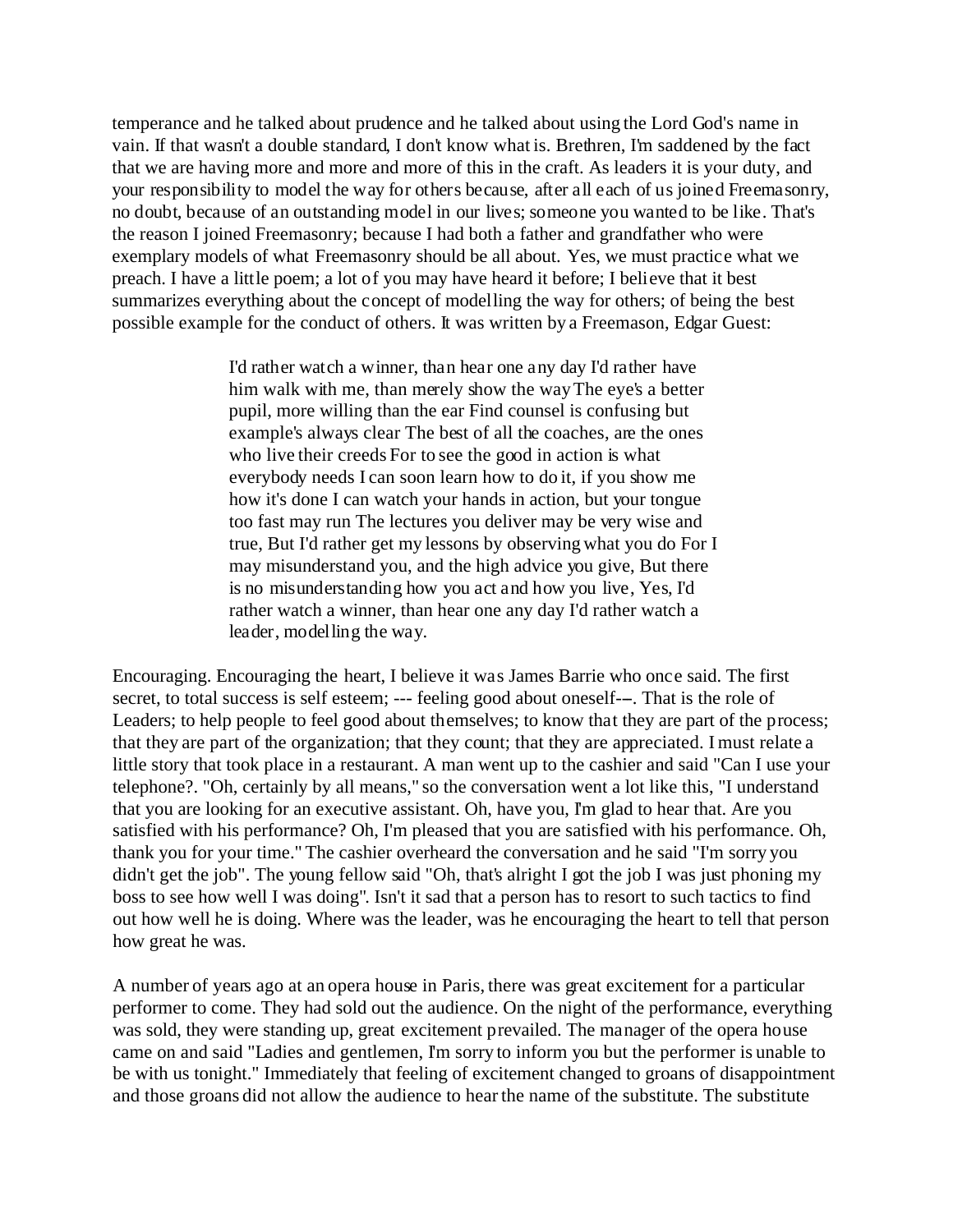temperance and he talked about prudence and he talked about using the Lord God's name in vain. If that wasn't a double standard, I don't know what is. Brethren, I'm saddened by the fact that we are having more and more and more of this in the craft. As leaders it is your duty, and your responsibility to model the way for others because, after all each of us joined Freemasonry, no doubt, because of an outstanding model in our lives; someone you wanted to be like. That's the reason I joined Freemasonry; because I had both a father and grandfather who were exemplary models of what Freemasonry should be all about. Yes, we must practice what we preach. I have a little poem; a lot of you may have heard it before; I believe that it best summarizes everything about the concept of modelling the way for others; of being the best possible example for the conduct of others. It was written by a Freemason, Edgar Guest:

> I'd rather watch a winner, than hear one any day I'd rather have him walk with me, than merely show the way The eye's a better pupil, more willing than the ear Find counsel is confusing but example's always clear The best of all the coaches, are the ones who live their creeds For to see the good in action is what everybody needs I can soon learn how to do it, if you show me how it's done I can watch your hands in action, but your tongue too fast may run The lectures you deliver may be very wise and true, But I'd rather get my lessons by observing what you do For I may misunderstand you, and the high advice you give, But there is no misunderstanding how you act and how you live, Yes, I'd rather watch a winner, than hear one any day I'd rather watch a leader, modelling the way.

Encouraging. Encouraging the heart, I believe it was James Barrie who once said. The first secret, to total success is self esteem; --- feeling good about oneself---. That is the role of Leaders; to help people to feel good about themselves; to know that they are part of the process; that they are part of the organization; that they count; that they are appreciated. I must relate a little story that took place in a restaurant. A man went up to the cashier and said "Can I use your telephone?. "Oh, certainly by all means," so the conversation went a lot like this, "I understand that you are looking for an executive assistant. Oh, have you, I'm glad to hear that. Are you satisfied with his performance? Oh, I'm pleased that you are satisfied with his performance. Oh, thank you for your time." The cashier overheard the conversation and he said "I'm sorry you didn't get the job". The young fellow said "Oh, that's alright I got the job I was just phoning my boss to see how well I was doing". Isn't it sad that a person has to resort to such tactics to find out how well he is doing. Where was the leader, was he encouraging the heart to tell that person how great he was.

A number of years ago at an opera house in Paris, there was great excitement for a particular performer to come. They had sold out the audience. On the night of the performance, everything was sold, they were standing up, great excitement prevailed. The manager of the opera house came on and said "Ladies and gentlemen, I'm sorry to inform you but the performer is unable to be with us tonight." Immediately that feeling of excitement changed to groans of disappointment and those groans did not allow the audience to hear the name of the substitute. The substitute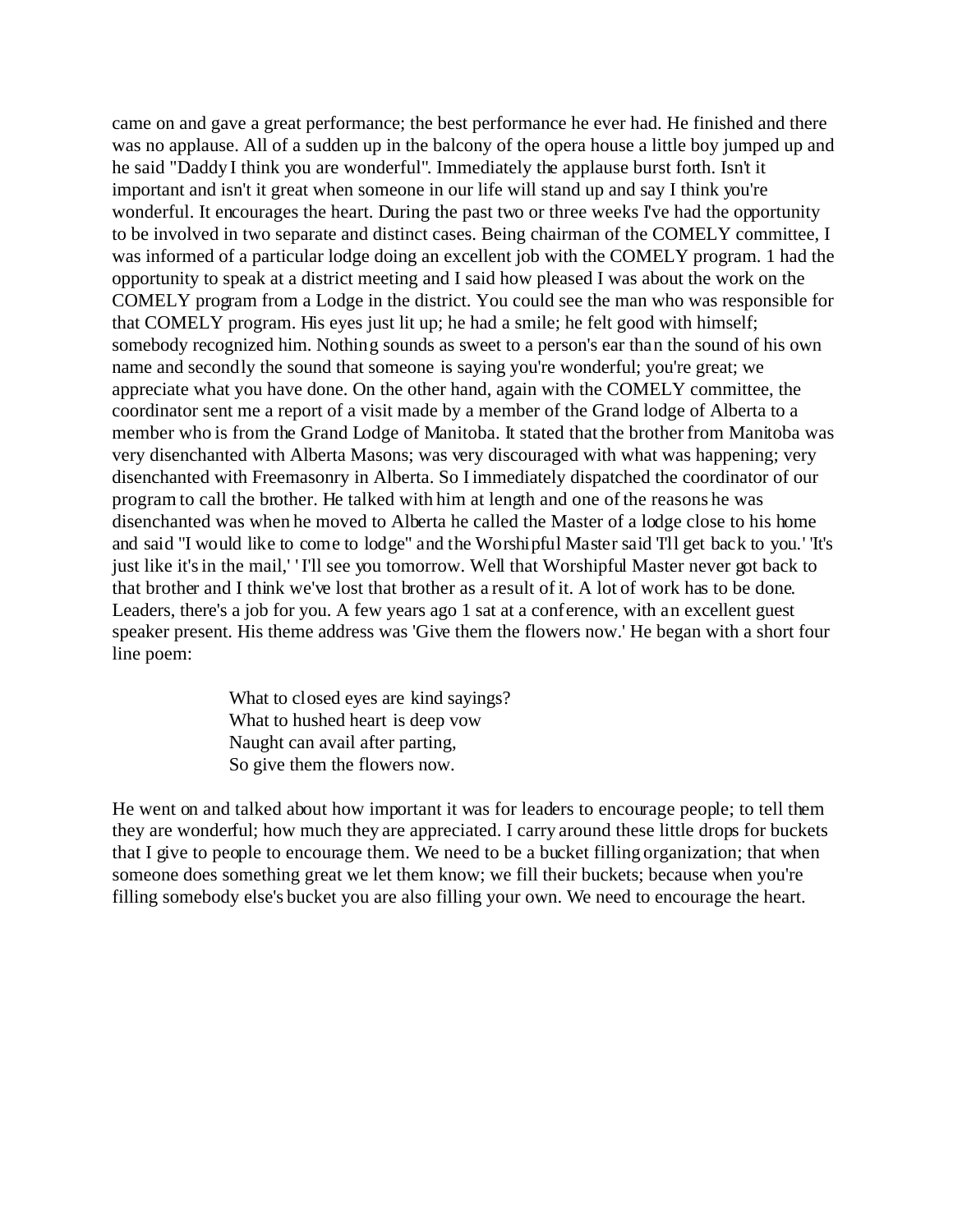came on and gave a great performance; the best performance he ever had. He finished and there was no applause. All of a sudden up in the balcony of the opera house a little boy jumped up and he said "Daddy I think you are wonderful". Immediately the applause burst forth. Isn't it important and isn't it great when someone in our life will stand up and say I think you're wonderful. It encourages the heart. During the past two or three weeks I've had the opportunity to be involved in two separate and distinct cases. Being chairman of the COMELY committee, I was informed of a particular lodge doing an excellent job with the COMELY program. 1 had the opportunity to speak at a district meeting and I said how pleased I was about the work on the COMELY program from a Lodge in the district. You could see the man who was responsible for that COMELY program. His eyes just lit up; he had a smile; he felt good with himself; somebody recognized him. Nothing sounds as sweet to a person's ear than the sound of his own name and secondly the sound that someone is saying you're wonderful; you're great; we appreciate what you have done. On the other hand, again with the COMELY committee, the coordinator sent me a report of a visit made by a member of the Grand lodge of Alberta to a member who is from the Grand Lodge of Manitoba. It stated that the brother from Manitoba was very disenchanted with Alberta Masons; was very discouraged with what was happening; very disenchanted with Freemasonry in Alberta. So I immediately dispatched the coordinator of our program to call the brother. He talked with him at length and one of the reasons he was disenchanted was when he moved to Alberta he called the Master of a lodge close to his home and said "I would like to come to lodge" and the Worshipful Master said 'I'll get back to you.' 'It's just like it's in the mail,' 'I'll see you tomorrow. Well that Worshipful Master never got back to that brother and I think we've lost that brother as a result of it. A lot of work has to be done. Leaders, there's a job for you. A few years ago 1 sat at a conference, with an excellent guest speaker present. His theme address was 'Give them the flowers now.' He began with a short four line poem:

> What to closed eyes are kind sayings? What to hushed heart is deep vow Naught can avail after parting, So give them the flowers now.

He went on and talked about how important it was for leaders to encourage people; to tell them they are wonderful; how much they are appreciated. I carry around these little drops for buckets that I give to people to encourage them. We need to be a bucket filling organization; that when someone does something great we let them know; we fill their buckets; because when you're filling somebody else's bucket you are also filling your own. We need to encourage the heart.